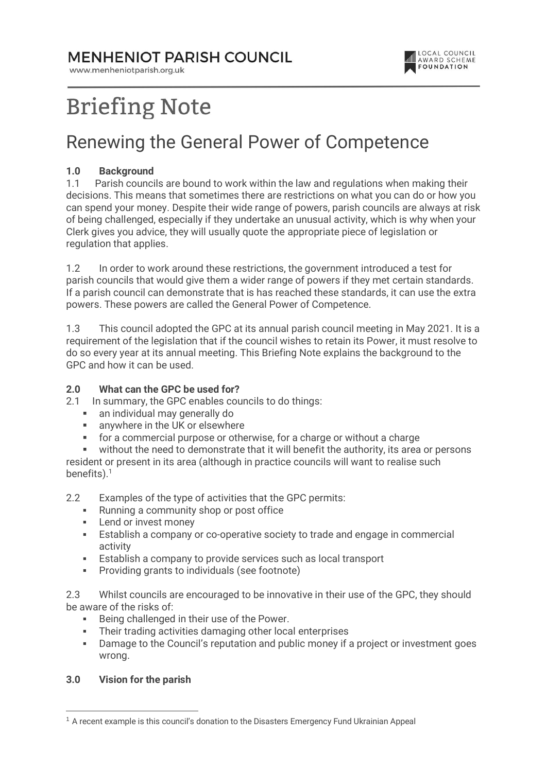**MENHENIOT PARISH COUNCIL** 

www.menheniotparish.org.uk



# **Briefing Note**

## Renewing the General Power of Competence

#### 1.0 Background

1.1 Parish councils are bound to work within the law and regulations when making their decisions. This means that sometimes there are restrictions on what you can do or how you can spend your money. Despite their wide range of powers, parish councils are always at risk of being challenged, especially if they undertake an unusual activity, which is why when your Clerk gives you advice, they will usually quote the appropriate piece of legislation or regulation that applies.

1.2 In order to work around these restrictions, the government introduced a test for parish councils that would give them a wider range of powers if they met certain standards. If a parish council can demonstrate that is has reached these standards, it can use the extra powers. These powers are called the General Power of Competence.

1.3 This council adopted the GPC at its annual parish council meeting in May 2021. It is a requirement of the legislation that if the council wishes to retain its Power, it must resolve to do so every year at its annual meeting. This Briefing Note explains the background to the GPC and how it can be used.

#### 2.0 What can the GPC be used for?

2.1 In summary, the GPC enables councils to do things:

- an individual may generally do
- **Example 1** anywhere in the UK or elsewhere
- for a commercial purpose or otherwise, for a charge or without a charge

 without the need to demonstrate that it will benefit the authority, its area or persons resident or present in its area (although in practice councils will want to realise such

benefits).<sup>1</sup>

2.2 Examples of the type of activities that the GPC permits:

- Running a community shop or post office
- **Lend or invest money**
- Establish a company or co-operative society to trade and engage in commercial activity
- **Establish a company to provide services such as local transport**<br>**E** Providing grants to individuals (see footpote)
- Providing grants to individuals (see footnote)

2.3 Whilst councils are encouraged to be innovative in their use of the GPC, they should be aware of the risks of:

- Being challenged in their use of the Power.
- Their trading activities damaging other local enterprises
- Damage to the Council's reputation and public money if a project or investment goes wrong.

#### 3.0 Vision for the parish

<sup>&</sup>lt;sup>1</sup> A recent example is this council's donation to the Disasters Emergency Fund Ukrainian Appeal